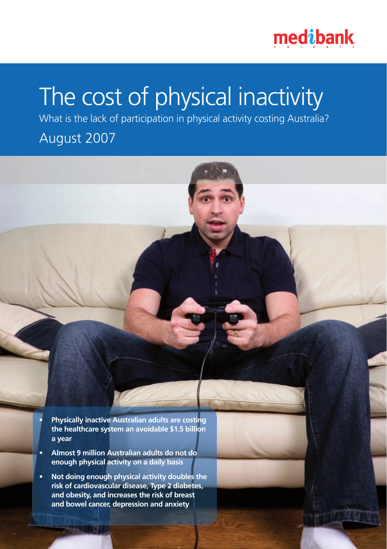

# The cost of physical inactivity

What is the lack of participation in physical activity costing Australia?

# August 2007

**• Physically inactive Australian adults are costing the healthcare system an avoidable \$1.5 billion a year** 

- **Almost 9 million Australian adults do not do enough physical activity on a daily basis**
- **Not doing enough physical activity doubles the risk of cardiovascular disease, Type 2 diabetes, and obesity, and increases the risk of breast and bowel cancer, depression and anxiety**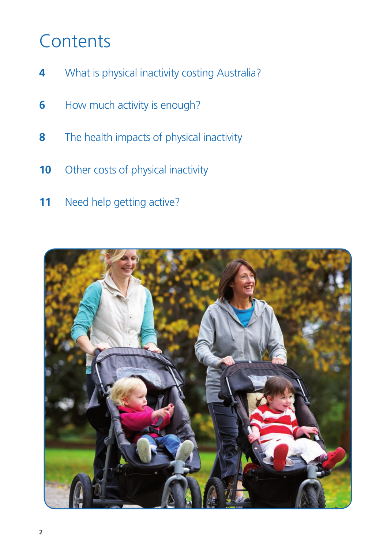# **Contents**

- What is physical inactivity costing Australia?
- How much activity is enough?
- The health impacts of physical inactivity
- Other costs of physical inactivity
- Need help getting active?

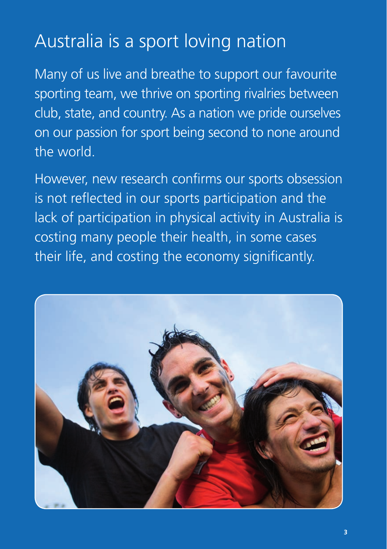# Australia is a sport loving nation

Many of us live and breathe to support our favourite sporting team, we thrive on sporting rivalries between club, state, and country. As a nation we pride ourselves on our passion for sport being second to none around the world.

However, new research confirms our sports obsession is not reflected in our sports participation and the lack of participation in physical activity in Australia is costing many people their health, in some cases their life, and costing the economy significantly.

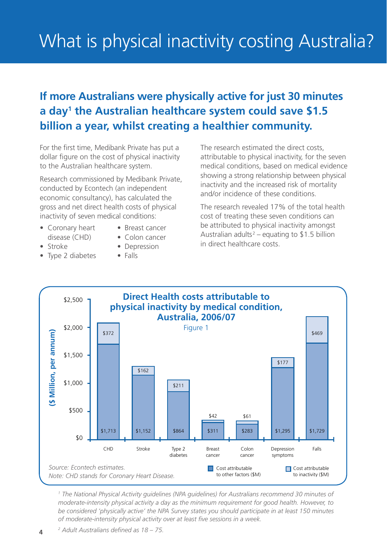# What is physical inactivity costing Australia?

### **If more Australians were physically active for just 30 minutes a day1 the Australian healthcare system could save \$1.5 billion a year, whilst creating a healthier community.**

For the first time, Medibank Private has put a dollar figure on the cost of physical inactivity to the Australian healthcare system.

Research commissioned by Medibank Private, conducted by Econtech (an independent economic consultancy), has calculated the gross and net direct health costs of physical inactivity of seven medical conditions:

- Coronary heart Breast cancer disease (CHD) • Colon cancer
	-
- Stroke Depression
- Type 2 diabetes Falls
	-
	-

The research estimated the direct costs, attributable to physical inactivity, for the seven medical conditions, based on medical evidence showing a strong relationship between physical inactivity and the increased risk of mortality and/or incidence of these conditions.

The research revealed 17% of the total health cost of treating these seven conditions can be attributed to physical inactivity amongst Australian adults<sup>2</sup> – equating to \$1.5 billion in direct healthcare costs.



*1 The National Physical Activity guidelines (NPA guidelines) for Australians recommend 30 minutes of moderate-intensity physical activity a day as the minimum requirement for good health. However, to be considered 'physically active' the NPA Survey states you should participate in at least 150 minutes of moderate-intensity physical activity over at least five sessions in a week.*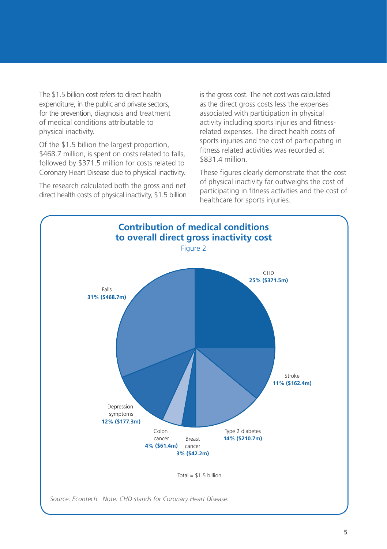The \$1.5 billion cost refers to direct health expenditure, in the public and private sectors, for the prevention, diagnosis and treatment of medical conditions attributable to physical inactivity.

Of the \$1.5 billion the largest proportion, \$468.7 million, is spent on costs related to falls. followed by \$371.5 million for costs related to Coronary Heart Disease due to physical inactivity.

The research calculated both the gross and net direct health costs of physical inactivity, \$1.5 billion is the gross cost. The net cost was calculated as the direct gross costs less the expenses associated with participation in physical activity including sports injuries and fitnessrelated expenses. The direct health costs of sports injuries and the cost of participating in fitness related activities was recorded at \$831.4 million.

These figures clearly demonstrate that the cost of physical inactivity far outweighs the cost of participating in fitness activities and the cost of healthcare for sports injuries.

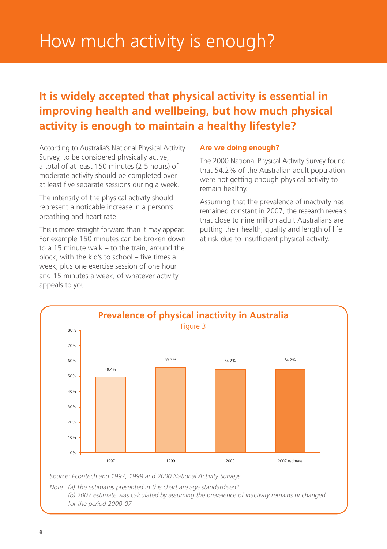# How much activity is enough?

### **It is widely accepted that physical activity is essential in improving health and wellbeing, but how much physical activity is enough to maintain a healthy lifestyle?**

According to Australia's National Physical Activity Survey, to be considered physically active, a total of at least 150 minutes (2.5 hours) of moderate activity should be completed over at least five separate sessions during a week.

The intensity of the physical activity should represent a noticable increase in a person's breathing and heart rate.

This is more straight forward than it may appear. For example 150 minutes can be broken down to a 15 minute walk – to the train, around the block, with the kid's to school – five times a week, plus one exercise session of one hour and 15 minutes a week, of whatever activity appeals to you.

#### **Are we doing enough?**

The 2000 National Physical Activity Survey found that 54.2% of the Australian adult population were not getting enough physical activity to remain healthy.

Assuming that the prevalence of inactivity has remained constant in 2007, the research reveals that close to nine million adult Australians are putting their health, quality and length of life at risk due to insufficient physical activity.



Note: (a) The estimates presented in this chart are age standardised<sup>3</sup>.

*(b) 2007 estimate was calculated by assuming the prevalence of inactivity remains unchanged for the period 2000-07.*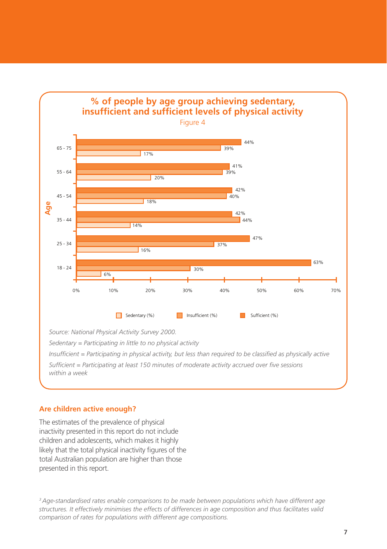

*Sedentary = Participating in little to no physical activity*

*Insufficient = Participating in physical activity, but less than required to be classified as physically active*

*Sufficient = Participating at least 150 minutes of moderate activity accrued over five sessions within a week*

#### **Are children active enough?**

The estimates of the prevalence of physical inactivity presented in this report do not include children and adolescents, which makes it highly likely that the total physical inactivity figures of the total Australian population are higher than those presented in this report.

*3 Age-standardised rates enable comparisons to be made between populations which have different age structures. It effectively minimises the effects of differences in age composition and thus facilitates valid comparison of rates for populations with different age compositions.*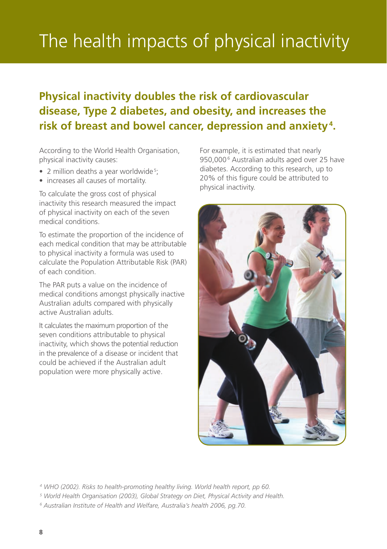# The health impacts of physical inactivity

### **Physical inactivity doubles the risk of cardiovascular disease, Type 2 diabetes, and obesity, and increases the risk of breast and bowel cancer, depression and anxiety<sup>4</sup> .**

According to the World Health Organisation, physical inactivity causes:

- 2 million deaths a year worldwide<sup>5</sup>;
- increases all causes of mortality.

To calculate the gross cost of physical inactivity this research measured the impact of physical inactivity on each of the seven medical conditions.

To estimate the proportion of the incidence of each medical condition that may be attributable to physical inactivity a formula was used to calculate the Population Attributable Risk (PAR) of each condition.

The PAR puts a value on the incidence of medical conditions amongst physically inactive Australian adults compared with physically active Australian adults.

It calculates the maximum proportion of the seven conditions attributable to physical inactivity, which shows the potential reduction in the prevalence of a disease or incident that could be achieved if the Australian adult population were more physically active.

For example, it is estimated that nearly 950,0006 Australian adults aged over 25 have diabetes. According to this research, up to 20% of this figure could be attributed to physical inactivity.



*<sup>4</sup> WHO (2002). Risks to health-promoting healthy living. World health report, pp 60.* 

*<sup>5</sup> World Health Organisation (2003), Global Strategy on Diet, Physical Activity and Health.* 

*<sup>6</sup> Australian Institute of Health and Welfare, Australia's health 2006, pg.70.*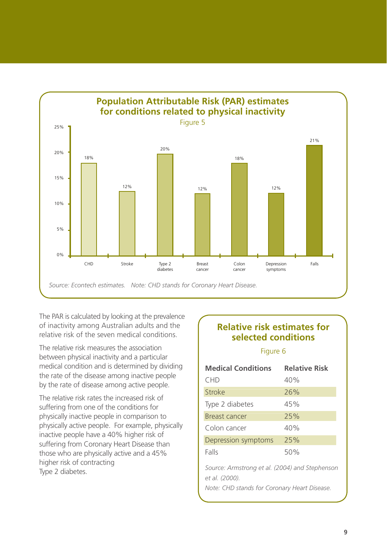

The PAR is calculated by looking at the prevalence of inactivity among Australian adults and the relative risk of the seven medical conditions.

The relative risk measures the association between physical inactivity and a particular medical condition and is determined by dividing the rate of the disease among inactive people by the rate of disease among active people.

The relative risk rates the increased risk of suffering from one of the conditions for physically inactive people in comparison to physically active people. For example, physically inactive people have a 40% higher risk of suffering from Coronary Heart Disease than those who are physically active and a 45% higher risk of contracting Type 2 diabetes.

#### **Relative risk estimates for selected conditions**

#### Figure 6

| <b>Medical Conditions</b>                                               | <b>Relative Risk</b> |
|-------------------------------------------------------------------------|----------------------|
| <b>CHD</b>                                                              | 40%                  |
| Stroke                                                                  | 26%                  |
| Type 2 diabetes                                                         | 45%                  |
| Breast cancer                                                           | 25%                  |
| Colon cancer                                                            | 40%                  |
| Depression symptoms                                                     | 25%                  |
| Falls                                                                   | 50%                  |
| Source: Armstrong et al. (2004) and Stephenson<br><i>et al. (2000).</i> |                      |

*Note: CHD stands for Coronary Heart Disease.*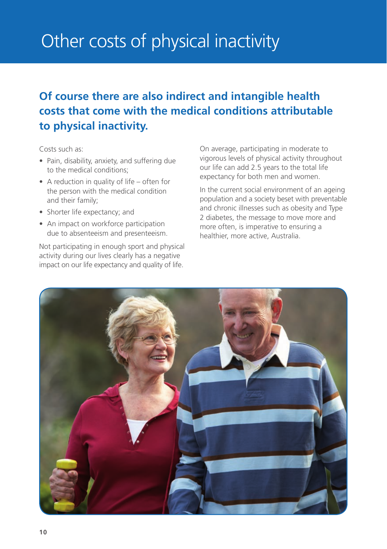# Other costs of physical inactivity

# **Of course there are also indirect and intangible health costs that come with the medical conditions attributable to physical inactivity.**

Costs such as:

- Pain, disability, anxiety, and suffering due to the medical conditions;
- A reduction in quality of life often for the person with the medical condition and their family;
- Shorter life expectancy; and
- An impact on workforce participation due to absenteeism and presenteeism.

Not participating in enough sport and physical activity during our lives clearly has a negative impact on our life expectancy and quality of life.

On average, participating in moderate to vigorous levels of physical activity throughout our life can add 2.5 years to the total life expectancy for both men and women.

In the current social environment of an ageing population and a society beset with preventable and chronic illnesses such as obesity and Type 2 diabetes, the message to move more and more often, is imperative to ensuring a healthier, more active, Australia.

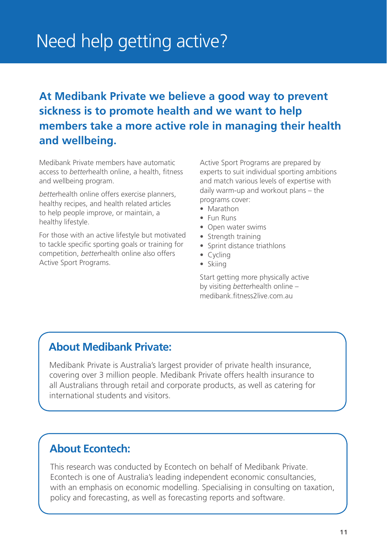# Need help getting active?

# **At Medibank Private we believe a good way to prevent sickness is to promote health and we want to help members take a more active role in managing their health and wellbeing.**

Medibank Private members have automatic access to *better*health online, a health, fitness and wellbeing program.

*better*health online offers exercise planners, healthy recipes, and health related articles to help people improve, or maintain, a healthy lifestyle.

For those with an active lifestyle but motivated to tackle specific sporting goals or training for competition, *better*health online also offers Active Sport Programs.

Active Sport Programs are prepared by experts to suit individual sporting ambitions and match various levels of expertise with daily warm-up and workout plans – the programs cover:

- Marathon
- • Fun Runs
- Open water swims
- Strength training
- Sprint distance triathlons
- Cycling
- • Skiing

Start getting more physically active by visiting *better*health online – medibank fitness2live.com.au.

### **About Medibank Private:**

Medibank Private is Australia's largest provider of private health insurance, covering over 3 million people. Medibank Private offers health insurance to all Australians through retail and corporate products, as well as catering for international students and visitors.

### **About Econtech:**

This research was conducted by Econtech on behalf of Medibank Private. Econtech is one of Australia's leading independent economic consultancies, with an emphasis on economic modelling. Specialising in consulting on taxation, policy and forecasting, as well as forecasting reports and software.